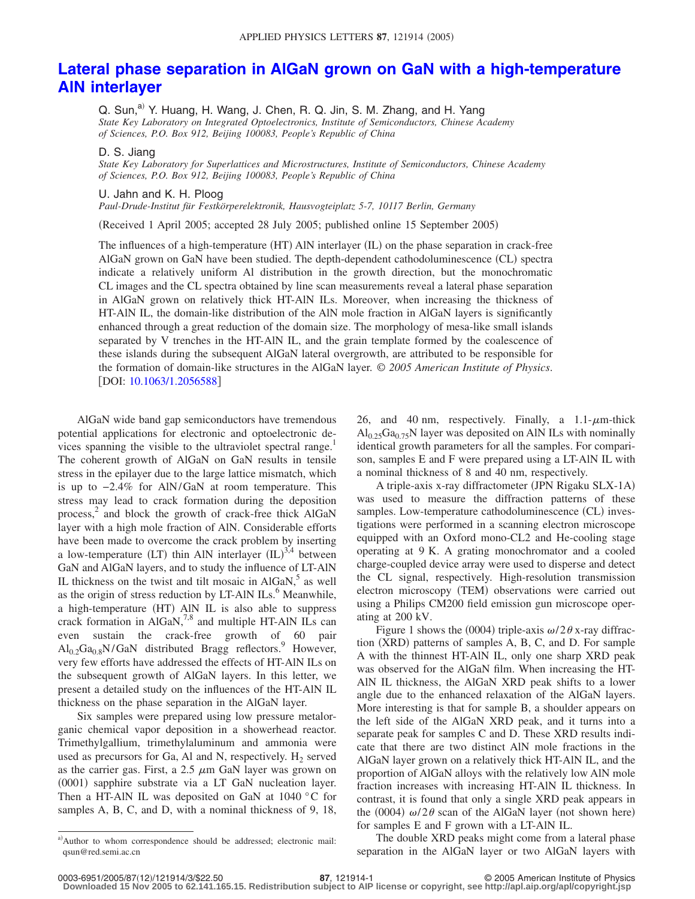## **[Lateral phase separation in AlGaN grown on GaN with a high-temperature](http://dx.doi.org/10.1063/1.2056588) [AlN interlayer](http://dx.doi.org/10.1063/1.2056588)**

Q. Sun,<sup>a)</sup> Y. Huang, H. Wang, J. Chen, R. Q. Jin, S. M. Zhang, and H. Yang *State Key Laboratory on Integrated Optoelectronics, Institute of Semiconductors, Chinese Academy of Sciences, P.O. Box 912, Beijing 100083, People's Republic of China*

## D. S. Jiang

*State Key Laboratory for Superlattices and Microstructures, Institute of Semiconductors, Chinese Academy of Sciences, P.O. Box 912, Beijing 100083, People's Republic of China*

## U. Jahn and K. H. Ploog

*Paul-Drude-Institut für Festkörperelektronik, Hausvogteiplatz 5-7, 10117 Berlin, Germany*

Received 1 April 2005; accepted 28 July 2005; published online 15 September 2005-

The influences of a high-temperature (HT) AlN interlayer (IL) on the phase separation in crack-free AlGaN grown on GaN have been studied. The depth-dependent cathodoluminescence (CL) spectra indicate a relatively uniform Al distribution in the growth direction, but the monochromatic CL images and the CL spectra obtained by line scan measurements reveal a lateral phase separation in AlGaN grown on relatively thick HT-AlN ILs. Moreover, when increasing the thickness of HT-AlN IL, the domain-like distribution of the AlN mole fraction in AlGaN layers is significantly enhanced through a great reduction of the domain size. The morphology of mesa-like small islands separated by V trenches in the HT-AlN IL, and the grain template formed by the coalescence of these islands during the subsequent AlGaN lateral overgrowth, are attributed to be responsible for the formation of domain-like structures in the AlGaN layer. © *2005 American Institute of Physics*. [DOI: [10.1063/1.2056588](http://dx.doi.org/10.1063/1.2056588)]

AlGaN wide band gap semiconductors have tremendous potential applications for electronic and optoelectronic devices spanning the visible to the ultraviolet spectral range.<sup>1</sup> The coherent growth of AlGaN on GaN results in tensile stress in the epilayer due to the large lattice mismatch, which is up to −2.4% for AlN/GaN at room temperature. This stress may lead to crack formation during the deposition process, <sup>2</sup> and block the growth of crack-free thick AlGaN layer with a high mole fraction of AlN. Considerable efforts have been made to overcome the crack problem by inserting a low-temperature (LT) thin AlN interlayer  $\text{(IL)}^{3,4}$  between GaN and AlGaN layers, and to study the influence of LT-AlN IL thickness on the twist and tilt mosaic in  $AIGaN$ ,<sup>5</sup> as well as the origin of stress reduction by LT-AlN  $\text{ILs}$ .<sup>6</sup> Meanwhile, a high-temperature (HT) AlN IL is also able to suppress crack formation in  $AIGaN$ ,<sup>7,8</sup> and multiple HT-AlN ILs can even sustain the crack-free growth of 60 pair  $Al_0.2Ga_0.8N/GaN$  distributed Bragg reflectors.<sup>9</sup> However, very few efforts have addressed the effects of HT-AlN ILs on the subsequent growth of AlGaN layers. In this letter, we present a detailed study on the influences of the HT-AlN IL thickness on the phase separation in the AlGaN layer.

Six samples were prepared using low pressure metalorganic chemical vapor deposition in a showerhead reactor. Trimethylgallium, trimethylaluminum and ammonia were used as precursors for Ga, Al and N, respectively.  $H_2$  served as the carrier gas. First, a  $2.5 \mu m$  GaN layer was grown on (0001) sapphire substrate via a LT GaN nucleation layer. Then a HT-AlN IL was deposited on GaN at 1040 °C for samples A, B, C, and D, with a nominal thickness of 9, 18,

a)Author to whom correspondence should be addressed; electronic mail: qsun@red.semi.ac.cn

26, and 40 nm, respectively. Finally, a  $1.1-\mu$ m-thick  $Al<sub>0.25</sub>Ga<sub>0.75</sub>N$  layer was deposited on AlN ILs with nominally identical growth parameters for all the samples. For comparison, samples E and F were prepared using a LT-AlN IL with a nominal thickness of 8 and 40 nm, respectively.

A triple-axis x-ray diffractometer (JPN Rigaku SLX-1A) was used to measure the diffraction patterns of these samples. Low-temperature cathodoluminescence (CL) investigations were performed in a scanning electron microscope equipped with an Oxford mono-CL2 and He-cooling stage operating at 9 K. A grating monochromator and a cooled charge-coupled device array were used to disperse and detect the CL signal, respectively. High-resolution transmission electron microscopy (TEM) observations were carried out using a Philips CM200 field emission gun microscope operating at 200 kV.

Figure 1 shows the (0004) triple-axis  $\omega/2\theta$  x-ray diffraction (XRD) patterns of samples A, B, C, and D. For sample A with the thinnest HT-AlN IL, only one sharp XRD peak was observed for the AlGaN film. When increasing the HT-AlN IL thickness, the AlGaN XRD peak shifts to a lower angle due to the enhanced relaxation of the AlGaN layers. More interesting is that for sample B, a shoulder appears on the left side of the AlGaN XRD peak, and it turns into a separate peak for samples C and D. These XRD results indicate that there are two distinct AlN mole fractions in the AlGaN layer grown on a relatively thick HT-AlN IL, and the proportion of AlGaN alloys with the relatively low AlN mole fraction increases with increasing HT-AlN IL thickness. In contrast, it is found that only a single XRD peak appears in the (0004)  $\omega/2\theta$  scan of the AlGaN layer (not shown here) for samples E and F grown with a LT-AlN IL.

The double XRD peaks might come from a lateral phase separation in the AlGaN layer or two AlGaN layers with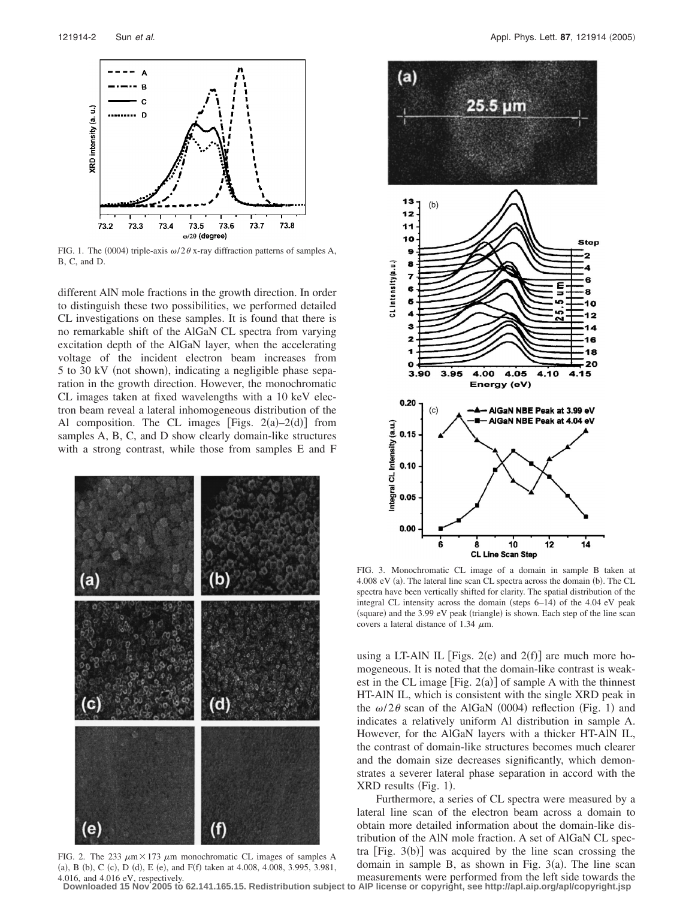

FIG. 1. The (0004) triple-axis  $\omega/2\theta$  x-ray diffraction patterns of samples A, B, C, and D.

different AlN mole fractions in the growth direction. In order to distinguish these two possibilities, we performed detailed CL investigations on these samples. It is found that there is no remarkable shift of the AlGaN CL spectra from varying excitation depth of the AlGaN layer, when the accelerating voltage of the incident electron beam increases from 5 to 30 kV (not shown), indicating a negligible phase separation in the growth direction. However, the monochromatic CL images taken at fixed wavelengths with a 10 keV electron beam reveal a lateral inhomogeneous distribution of the Al composition. The CL images [Figs.  $2(a)-2(d)$ ] from samples A, B, C, and D show clearly domain-like structures with a strong contrast, while those from samples E and F



FIG. 2. The 233  $\mu$ m × 173  $\mu$ m monochromatic CL images of samples A (a), B (b), C (c), D (d), E (e), and F(f) taken at 4.008, 4.008, 3.995, 3.981, 4.016, and 4.016 eV, respectively.



FIG. 3. Monochromatic CL image of a domain in sample B taken at 4.008 eV (a). The lateral line scan CL spectra across the domain (b). The CL spectra have been vertically shifted for clarity. The spatial distribution of the integral CL intensity across the domain (steps 6–14) of the 4.04 eV peak (square) and the 3.99 eV peak (triangle) is shown. Each step of the line scan covers a lateral distance of 1.34  $\mu$ m.

using a LT-AlN IL [Figs.  $2(e)$  and  $2(f)$ ] are much more homogeneous. It is noted that the domain-like contrast is weakest in the CL image  $[Fig. 2(a)]$  of sample A with the thinnest HT-AlN IL, which is consistent with the single XRD peak in the  $\omega/2\theta$  scan of the AlGaN (0004) reflection (Fig. 1) and indicates a relatively uniform Al distribution in sample A. However, for the AlGaN layers with a thicker HT-AlN IL, the contrast of domain-like structures becomes much clearer and the domain size decreases significantly, which demonstrates a severer lateral phase separation in accord with the XRD results (Fig. 1).

Furthermore, a series of CL spectra were measured by a lateral line scan of the electron beam across a domain to obtain more detailed information about the domain-like distribution of the AlN mole fraction. A set of AlGaN CL spectra  $[Fig. 3(b)]$  was acquired by the line scan crossing the domain in sample B, as shown in Fig.  $3(a)$ . The line scan measurements were performed from the left side towards the

**Downloaded 15 Nov 2005 to 62.141.165.15. Redistribution subject to AIP license or copyright, see http://apl.aip.org/apl/copyright.jsp**